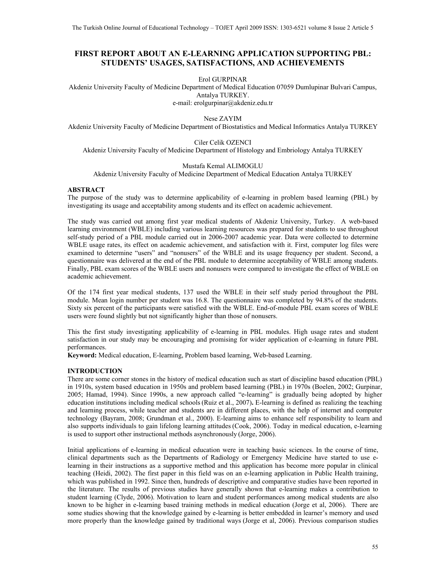# **FIRST REPORT ABOUT AN E-LEARNING APPLICATION SUPPORTING PBL: STUDENTS' USAGES, SATISFACTIONS, AND ACHIEVEMENTS**

Erol GURPINAR

Akdeniz University Faculty of Medicine Department of Medical Education 07059 Dumlupinar Bulvari Campus, Antalya TURKEY.

e-mail: erolgurpinar@akdeniz.edu.tr

Nese ZAYIM

Akdeniz University Faculty of Medicine Department of Biostatistics and Medical Informatics Antalya TURKEY

Ciler Celik OZENCI Akdeniz University Faculty of Medicine Department of Histology and Embriology Antalya TURKEY

Mustafa Kemal ALIMOGLU

Akdeniz University Faculty of Medicine Department of Medical Education Antalya TURKEY

## **ABSTRACT**

The purpose of the study was to determine applicability of e-learning in problem based learning (PBL) by investigating its usage and acceptability among students and its effect on academic achievement.

The study was carried out among first year medical students of Akdeniz University, Turkey. A web-based learning environment (WBLE) including various learning resources was prepared for students to use throughout self-study period of a PBL module carried out in 2006-2007 academic year. Data were collected to determine WBLE usage rates, its effect on academic achievement, and satisfaction with it. First, computer log files were examined to determine "users" and "nonusers" of the WBLE and its usage frequency per student. Second, a questionnaire was delivered at the end of the PBL module to determine acceptability of WBLE among students. Finally, PBL exam scores of the WBLE users and nonusers were compared to investigate the effect of WBLE on academic achievement.

Of the 174 first year medical students, 137 used the WBLE in their self study period throughout the PBL module. Mean login number per student was 16.8. The questionnaire was completed by 94.8% of the students. Sixty six percent of the participants were satisfied with the WBLE. End-of-module PBL exam scores of WBLE users were found slightly but not significantly higher than those of nonusers.

This the first study investigating applicability of e-learning in PBL modules. High usage rates and student satisfaction in our study may be encouraging and promising for wider application of e-learning in future PBL performances.

**Keyword:** Medical education, E-learning, Problem based learning, Web-based Learning.

## **INTRODUCTION**

There are some corner stones in the history of medical education such as start of discipline based education (PBL) in 1910s, system based education in 1950s and problem based learning (PBL) in 1970s (Boelen, 2002; Gurpinar, 2005; Hamad, 1994). Since 1990s, a new approach called "e-learning" is gradually being adopted by higher education institutions including medical schools(Ruiz et al., 2007)**.** E-learning is defined as realizing the teaching and learning process, while teacher and students are in different places, with the help of internet and computer technology (Bayram, 2008; Grundman et al., 2000). E-learning aims to enhance self responsibility to learn and also supports individuals to gain lifelong learning attitudes (Cook, 2006). Today in medical education, e-learning is used to support other instructional methods asynchronously (Jorge, 2006).

Initial applications of e-learning in medical education were in teaching basic sciences. In the course of time, clinical departments such as the Departments of Radiology or Emergency Medicine have started to use elearning in their instructions as a supportive method and this application has become more popular in clinical teaching (Heidi, 2002). The first paper in this field was on an e-learning application in Public Health training, which was published in 1992. Since then, hundreds of descriptive and comparative studies have been reported in the literature. The results of previous studies have generally shown that e-learning makes a contribution to student learning (Clyde, 2006). Motivation to learn and student performances among medical students are also known to be higher in e-learning based training methods in medical education (Jorge et al, 2006). There are some studies showing that the knowledge gained by e-learning is better embedded in learner's memory and used more properly than the knowledge gained by traditional ways (Jorge et al, 2006). Previous comparison studies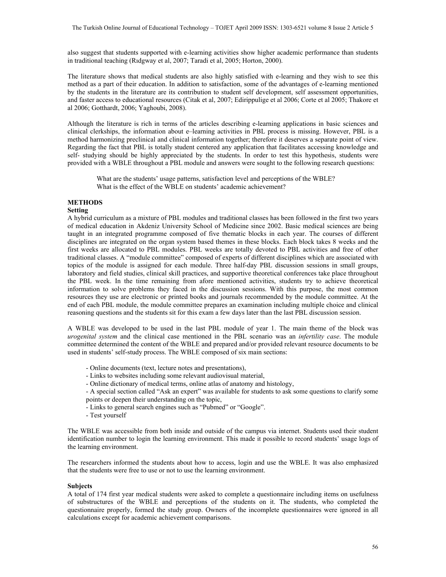also suggest that students supported with e-learning activities show higher academic performance than students in traditional teaching (Rıdgway et al, 2007; Taradi et al, 2005; Horton, 2000).

The literature shows that medical students are also highly satisfied with e-learning and they wish to see this method as a part of their education. In addition to satisfaction, some of the advantages of e-learning mentioned by the students in the literature are its contribution to student self development, self assessment opportunities, and faster access to educational resources (Citak et al, 2007; Edirippulige et al 2006; Corte et al 2005; Thakore et al 2006; Gotthardt, 2006; Yaghoubi, 2008).

Although the literature is rich in terms of the articles describing e-learning applications in basic sciences and clinical clerkships, the information about e–learning activities in PBL process is missing. However, PBL is a method harmonizing preclinical and clinical information together; therefore it deserves a separate point of view. Regarding the fact that PBL is totally student centered any application that facilitates accessing knowledge and self- studying should be highly appreciated by the students. In order to test this hypothesis, students were provided with a WBLE throughout a PBL module and answers were sought to the following research questions:

What are the students' usage patterns, satisfaction level and perceptions of the WBLE? What is the effect of the WBLE on students' academic achievement?

# **METHODS**

# **Setting**

A hybrid curriculum as a mixture of PBL modules and traditional classes has been followed in the first two years of medical education in Akdeniz University School of Medicine since 2002. Basic medical sciences are being taught in an integrated programme composed of five thematic blocks in each year. The courses of different disciplines are integrated on the organ system based themes in these blocks. Each block takes 8 weeks and the first weeks are allocated to PBL modules. PBL weeks are totally devoted to PBL activities and free of other traditional classes. A "module committee" composed of experts of different disciplines which are associated with topics of the module is assigned for each module. Three half-day PBL discussion sessions in small groups, laboratory and field studies, clinical skill practices, and supportive theoretical conferences take place throughout the PBL week. In the time remaining from afore mentioned activities, students try to achieve theoretical information to solve problems they faced in the discussion sessions. With this purpose, the most common resources they use are electronic or printed books and journals recommended by the module committee. At the end of each PBL module, the module committee prepares an examination including multiple choice and clinical reasoning questions and the students sit for this exam a few days later than the last PBL discussion session.

A WBLE was developed to be used in the last PBL module of year 1. The main theme of the block was *urogenital system* and the clinical case mentioned in the PBL scenario was an *infertility case*. The module committee determined the content of the WBLE and prepared and/or provided relevant resource documents to be used in students' self-study process. The WBLE composed of six main sections:

- Online documents (text, lecture notes and presentations),
- Links to websites including some relevant audiovisual material,
- Online dictionary of medical terms, online atlas of anatomy and histology,
- A special section called "Ask an expert" was available for students to ask some questions to clarify some points or deepen their understanding on the topic,
- Links to general search engines such as "Pubmed" or "Google".
- Test yourself

The WBLE was accessible from both inside and outside of the campus via internet. Students used their student identification number to login the learning environment. This made it possible to record students' usage logs of the learning environment.

The researchers informed the students about how to access, login and use the WBLE. It was also emphasized that the students were free to use or not to use the learning environment.

#### **Subjects**

A total of 174 first year medical students were asked to complete a questionnaire including items on usefulness of substructures of the WBLE and perceptions of the students on it. The students, who completed the questionnaire properly, formed the study group. Owners of the incomplete questionnaires were ignored in all calculations except for academic achievement comparisons.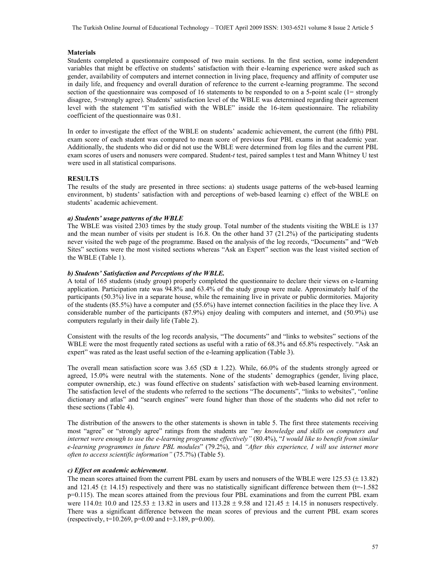#### **Materials**

Students completed a questionnaire composed of two main sections. In the first section, some independent variables that might be effective on students' satisfaction with their e-learning experience were asked such as gender, availability of computers and internet connection in living place, frequency and affinity of computer use in daily life, and frequency and overall duration of reference to the current e-learning programme. The second section of the questionnaire was composed of 16 statements to be responded to on a 5-point scale (1= strongly disagree, 5=strongly agree). Students' satisfaction level of the WBLE was determined regarding their agreement level with the statement "I'm satisfied with the WBLE" inside the 16-item questionnaire. The reliability coefficient of the questionnaire was 0.81.

In order to investigate the effect of the WBLE on students' academic achievement, the current (the fifth) PBL exam score of each student was compared to mean score of previous four PBL exams in that academic year. Additionally, the students who did or did not use the WBLE were determined from log files and the current PBL exam scores of users and nonusers were compared. Student-*t* test, paired samples t test and Mann Whitney U test were used in all statistical comparisons.

## **RESULTS**

The results of the study are presented in three sections: a) students usage patterns of the web-based learning environment, b) students' satisfaction with and perceptions of web-based learning c) effect of the WBLE on students' academic achievement.

#### *a) Students' usage patterns of the WBLE*

The WBLE was visited 2303 times by the study group. Total number of the students visiting the WBLE is 137 and the mean number of visits per student is 16.8. On the other hand 37 (21.2%) of the participating students never visited the web page of the programme. Based on the analysis of the log records, "Documents" and "Web Sites" sections were the most visited sections whereas "Ask an Expert" section was the least visited section of the WBLE (Table 1).

## *b) Students' Satisfaction and Perceptions of the WBLE.*

A total of 165 students (study group) properly completed the questionnaire to declare their views on e-learning application. Participation rate was 94.8% and 63.4% of the study group were male. Approximately half of the participants (50.3%) live in a separate house, while the remaining live in private or public dormitories. Majority of the students (85.5%) have a computer and (55.6%) have internet connection facilities in the place they live. A considerable number of the participants (87.9%) enjoy dealing with computers and internet, and (50.9%) use computers regularly in their daily life (Table 2).

Consistent with the results of the log records analysis, "The documents" and "links to websites" sections of the WBLE were the most frequently rated sections as useful with a ratio of 68.3% and 65.8% respectively. "Ask an expert" was rated as the least useful section of the e-learning application (Table 3).

The overall mean satisfaction score was  $3.65$  (SD  $\pm$  1.22). While, 66.0% of the students strongly agreed or agreed, 15.0% were neutral with the statements. None of the students' demographics (gender, living place, computer ownership, etc.) was found effective on students' satisfaction with web-based learning environment. The satisfaction level of the students who referred to the sections "The documents", "links to websites", "online dictionary and atlas" and "search engines" were found higher than those of the students who did not refer to these sections (Table 4).

The distribution of the answers to the other statements is shown in table 5. The first three statements receiving most "agree" or "strongly agree" ratings from the students are *"my knowledge and skills on computers and internet were enough to use the e-learning programme effectively"* (80.4%), "*I would like to benefit from similar e-learning programmes in future PBL modules*" (79.2%), and *"After this experience, I will use internet more often to access scientific information"* (75.7%) (Table 5).

## *c) Effect on academic achievement*.

The mean scores attained from the current PBL exam by users and nonusers of the WBLE were 125.53 (± 13.82) and 121.45 ( $\pm$  14.15) respectively and there was no statistically significant difference between them ( $t=1.582$ ) p=0.115). The mean scores attained from the previous four PBL examinations and from the current PBL exam were  $114.0 \pm 10.0$  and  $125.53 \pm 13.82$  in users and  $113.28 \pm 9.58$  and  $121.45 \pm 14.15$  in nonusers respectively. There was a significant difference between the mean scores of previous and the current PBL exam scores (respectively,  $t=10.269$ ,  $p=0.00$  and  $t=3.189$ ,  $p=0.00$ ).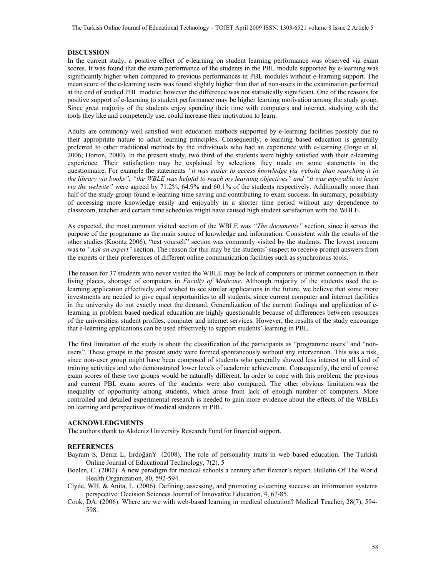#### **DISCUSSION**

In the current study, a positive effect of e-learning on student learning performance was observed via exam scores. It was found that the exam performance of the students in the PBL module supported by e-learning was significantly higher when compared to previous performances in PBL modules without e-learning support. The mean score of the e-learning users was found slightly higher than that of non-users in the examination performed at the end of studied PBL module; however the difference was not statistically significant. One of the reasons for positive support of e-learning to student performance may be higher learning motivation among the study group. Since great majority of the students enjoy spending their time with computers and internet, studying with the tools they like and competently use, could increase their motivation to learn.

Adults are commonly well satisfied with education methods supported by e-learning facilities possibly due to their appropriate nature to adult learning principles. Consequently, e-learning based education is generally preferred to other traditional methods by the individuals who had an experience with e-learning (Jorge et al, 2006; Horton, 2000). In the present study, two third of the students were highly satisfied with their e-learning experience. Their satisfaction may be explained by selections they made on some statements in the questionnaire. For example the statements *"it was easier to access knowledge via website than searching it in the library via books"*, *"the WBLE was helpful to reach my learning objectives" and "it was enjoyable to learn via the website"* were agreed by 71.2%, 64.9% and 60.1% of the students respectively. Additionally more than half of the study group found e-learning time saving and contributing to exam success. In summary, possibility of accessing more knowledge easily and enjoyably in a shorter time period without any dependence to classroom, teacher and certain time schedules might have caused high student satisfaction with the WBLE.

As expected, the most common visited section of the WBLE was *"The documents"* section, since it serves the purpose of the programme as the main source of knowledge and information. Consistent with the results of the other studies (Koontz 2006), "test yourself" section was commonly visited by the students. The lowest concern was to *"Ask an expert"* section. The reason for this may be the students' suspect to receive prompt answers from the experts or their preferences of different online communication facilities such as synchronous tools.

The reason for 37 students who never visited the WBLE may be lack of computers or internet connection in their living places, shortage of computers in *Faculty of Medicine*. Although majority of the students used the elearning application effectively and wished to see similar applications in the future, we believe that some more investments are needed to give equal opportunities to all students, since current computer and internet facilities in the university do not exactly meet the demand. Generalization of the current findings and application of elearning in problem based medical education are highly questionable because of differences between resources of the universities, student profiles, computer and internet services. However, the results of the study encourage that e-learning applications can be used effectively to support students' learning in PBL.

The first limitation of the study is about the classification of the participants as "programme users" and "nonusers". These groups in the present study were formed spontaneously without any intervention. This was a risk, since non-user group might have been composed of students who generally showed less interest to all kind of training activities and who demonstrated lower levels of academic achievement. Consequently, the end of course exam scores of these two groups would be naturally different. In order to cope with this problem, the previous and current PBL exam scores of the students were also compared. The other obvious limitation was the inequality of opportunity among students, which arose from lack of enough number of computers. More controlled and detailed experimental research is needed to gain more evidence about the effects of the WBLEs on learning and perspectives of medical students in PBL.

#### **ACKNOWLEDGMENTS**

The authors thank to Akdeniz University Research Fund for financial support.

#### **REFERENCES**

- Bayram S, Deniz L, ErdoğanY (2008). The role of personality traits in web based education. The Turkish Online Journal of Educational Technology, 7(2), 5
- Boelen, C. (2002). A new paradigm for medical schools a century after flexner's report. Bulletin Of The World Health Organization, 80, 592-594.
- Clyde, WH, & Anita, L. (2006). Defining, assessing, and promoting e-learning success: an information systems perspective. Decision Sciences Journal of Innovative Education, 4, 67-85.
- Cook, DA. (2006). Where are we with web-based learning in medical education? Medical Teacher, 28(7), 594- 598.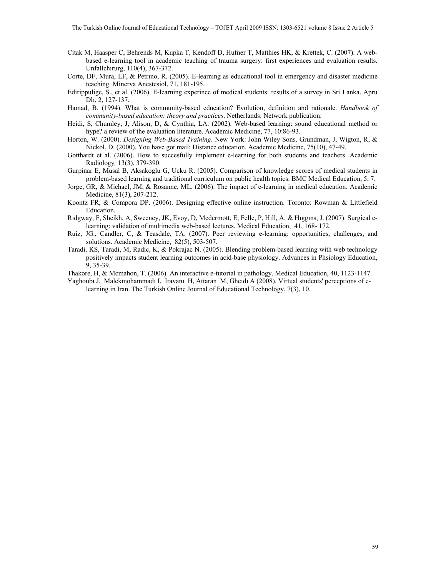- Citak M, Haasper C, Behrends M, Kupka T, Kendoff D, Hufner T, Matthies HK, & Krettek, C. (2007). A webbased e-learning tool in academic teaching of trauma surgery: first experiences and evaluation results. Unfallchirurg, 110(4), 367-372.
- Corte, DF, Mura, LF, & Petrıno, R. (2005). E-learning as educational tool in emergency and disaster medicine teaching. Minerva Anestesiol, 71, 181-195.
- Edirippulige, S., et al. (2006). E-learning experince of medical students: results of a survey in Sri Lanka. Apru Dlı, 2, 127-137.
- Hamad, B. (1994). What is community-based education? Evolution, definition and rationale. *Handbook of community-based education: theory and practices*. Netherlands: Network publication.
- Heidi, S, Chumley, J, Alison, D, & Cynthia, LA. (2002). Web-based learning: sound educational method or hype? a review of the evaluation literature. Academic Medicine, 77, 10:86-93.
- Horton, W. (2000). *Designing Web-Based Training*. New York: John Wiley Sons. Grundman, J, Wigton, R, & Nickol, D. (2000). You have got mail: Distance education. Academic Medicine, 75(10), 47-49.
- Gotthardt et al. (2006). How to succesfully implement e-learning for both students and teachers. Academic Radiology*,* 13(3), 379-390.
- Gurpinar E, Musal B, Aksakoglu G, Ucku R. (2005). Comparison of knowledge scores of medical students in problem-based learning and traditional curriculum on public health topics. BMC Medical Education, 5, 7.
- Jorge, GR, & Michael, JM, & Rosanne, ML. (2006). The impact of e-learning in medical education. Academic Medicine, 81(3), 207-212.
- Koontz FR, & Compora DP. (2006). Designing effective online instruction. Toronto: Rowman & Littlefield Education.
- Rıdgway, F, Sheikh, A, Sweeney, JK, Evoy, D, Mcdermott, E, Felle, P, Hıll, A, & Hıggıns, J. (2007). Surgical elearning: validation of multimedia web-based lectures. Medical Education, 41, 168- 172.
- Ruiz, JG., Candler, C, & Teasdale, TA. (2007). Peer reviewing e-learning: opportunities, challenges, and solutions. Academic Medicine, 82(5), 503-507.
- Taradi, KS, Taradi, M, Radic, K, & Pokrajac N. (2005). Blending problem-based learning with web technology positively impacts student learning outcomes in acid-base physiology. Advances in Phsiology Education, 9, 35-39.
- Thakore, H, & Mcmahon, T. (2006). An interactive e-tutorial in pathology. Medical Education, 40, 1123-1147.
- Yaghoubı J, Malekmohammadı I, Iravanı H, Attaran M, Gheıdı A (2008). Virtual students' perceptions of elearning in Iran. The Turkish Online Journal of Educational Technology, 7(3), 10.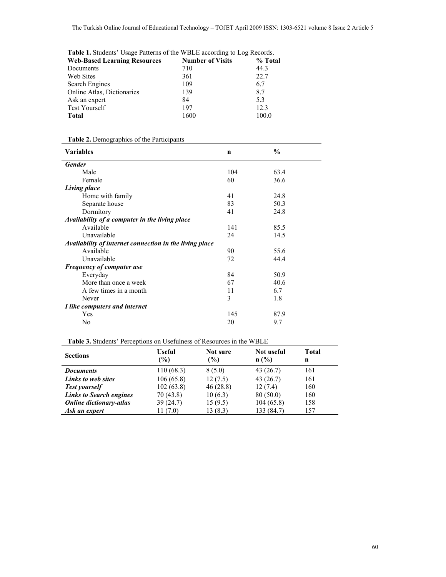|  | Table 1. Students' Usage Patterns of the WBLE according to Log Records. |  |
|--|-------------------------------------------------------------------------|--|
|  |                                                                         |  |

| <b>Web-Based Learning Resources</b> | <b>Number of Visits</b> | % Total |
|-------------------------------------|-------------------------|---------|
| Documents                           | 710                     | 44.3    |
| Web Sites                           | 361                     | 22.7    |
| <b>Search Engines</b>               | 109                     | 6.7     |
| Online Atlas, Dictionaries          | 139                     | 8.7     |
| Ask an expert                       | 84                      | 5.3     |
| <b>Test Yourself</b>                | 197                     | 12.3    |
| <b>Total</b>                        | 1600                    | 100.0   |

# **Table 2.** Demographics of the Participants

| <b>Variables</b>                                        | $\mathbf n$ | $\frac{6}{9}$ |
|---------------------------------------------------------|-------------|---------------|
| <b>Gender</b>                                           |             |               |
| Male                                                    | 104         | 63.4          |
| Female                                                  | 60          | 36.6          |
| Living place                                            |             |               |
| Home with family                                        | 41          | 24.8          |
| Separate house                                          | 83          | 50.3          |
| Dormitory                                               | 41          | 24.8          |
| Availability of a computer in the living place          |             |               |
| Available                                               | 141         | 85.5          |
| Unavailable                                             | 24          | 14.5          |
| Availability of internet connection in the living place |             |               |
| Available                                               | 90          | 55.6          |
| Unavailable                                             | 72          | 44.4          |
| <b>Frequency of computer use</b>                        |             |               |
| Everyday                                                | 84          | 50.9          |
| More than once a week                                   | 67          | 40.6          |
| A few times in a month                                  | 11          | 6.7           |
| Never                                                   | 3           | 1.8           |
| I like computers and internet                           |             |               |
| Yes                                                     | 145         | 87.9          |
| No                                                      | 20          | 9.7           |

# **Table 3.** Students' Perceptions on Usefulness of Resources in the WBLE

| <b>Sections</b>                | <b>Useful</b><br>$(\%)$ | Not sure<br>(%) | <b>Not</b> useful<br>n(%) | <b>Total</b><br>n |
|--------------------------------|-------------------------|-----------------|---------------------------|-------------------|
| <b>Documents</b>               | 110(68.3)               | 8(5.0)          | 43(26.7)                  | 161               |
| Links to web sites             | 106(65.8)               | 12(7.5)         | 43(26.7)                  | 161               |
| <b>Test yourself</b>           | 102(63.8)               | 46(28.8)        | 12(7.4)                   | 160               |
| <b>Links to Search engines</b> | 70 (43.8)               | 10(6.3)         | 80(50.0)                  | 160               |
| <b>Online dictionary-atlas</b> | 39 (24.7)               | 15(9.5)         | 104(65.8)                 | 158               |
| Ask an expert                  | 11(7.0)                 | 13(8.3)         | 133 (84.7)                | 157               |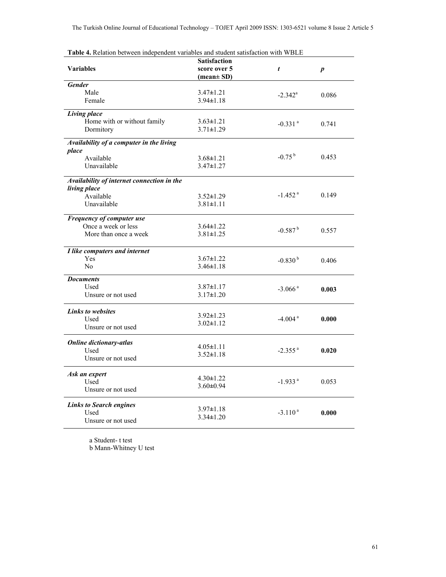| <b>Table 4.</b> Relation between independent variables and student satisfaction with WBLE |                               |                       |                  |
|-------------------------------------------------------------------------------------------|-------------------------------|-----------------------|------------------|
|                                                                                           | <b>Satisfaction</b>           |                       |                  |
| <b>Variables</b>                                                                          | score over 5                  | t                     | $\boldsymbol{p}$ |
|                                                                                           | $(\text{mean} \pm \text{SD})$ |                       |                  |
| <b>Gender</b>                                                                             |                               |                       |                  |
| Male                                                                                      | $3.47 \pm 1.21$               | $-2.342^{\rm a}$      | 0.086            |
| Female                                                                                    | $3.94 \pm 1.18$               |                       |                  |
|                                                                                           |                               |                       |                  |
| Living place                                                                              |                               |                       |                  |
| Home with or without family                                                               | $3.63 \pm 1.21$               | $-0.331$ <sup>a</sup> | 0.741            |
| Dormitory                                                                                 | $3.71 \pm 1.29$               |                       |                  |
| Availability of a computer in the living                                                  |                               |                       |                  |
|                                                                                           |                               |                       |                  |
| place                                                                                     |                               | $-0.75^{b}$           | 0.453            |
| Available                                                                                 | $3.68 \pm 1.21$               |                       |                  |
| Unavailable                                                                               | $3.47 \pm 1.27$               |                       |                  |
| Availability of internet connection in the                                                |                               |                       |                  |
| living place                                                                              |                               |                       |                  |
| Available                                                                                 | $3.52 \pm 1.29$               | $-1.452$ <sup>a</sup> | 0.149            |
| Unavailable                                                                               | $3.81 \pm 1.11$               |                       |                  |
|                                                                                           |                               |                       |                  |
| Frequency of computer use                                                                 |                               |                       |                  |
| Once a week or less                                                                       | $3.64 \pm 1.22$               |                       |                  |
| More than once a week                                                                     | $3.81 \pm 1.25$               | $-0.587$ <sup>b</sup> | 0.557            |
|                                                                                           |                               |                       |                  |
| I like computers and internet                                                             |                               |                       |                  |
| Yes                                                                                       | $3.67 \pm 1.22$               | $-0.830^{b}$          | 0.406            |
| No                                                                                        | $3.46 \pm 1.18$               |                       |                  |
| <b>Documents</b>                                                                          |                               |                       |                  |
| Used                                                                                      | $3.87 \pm 1.17$               |                       |                  |
|                                                                                           |                               | $-3.066$ <sup>a</sup> | 0.003            |
| Unsure or not used                                                                        | $3.17 \pm 1.20$               |                       |                  |
| <b>Links to websites</b>                                                                  |                               |                       |                  |
| Used                                                                                      | $3.92 \pm 1.23$               | $-4.004$ <sup>a</sup> | 0.000            |
| Unsure or not used                                                                        | $3.02 \pm 1.12$               |                       |                  |
|                                                                                           |                               |                       |                  |
| <b>Online dictionary-atlas</b>                                                            |                               |                       |                  |
| Used                                                                                      | $4.05 \pm 1.11$               | $-2.355$ <sup>a</sup> | 0.020            |
| Unsure or not used                                                                        | $3.52 \pm 1.18$               |                       |                  |
|                                                                                           |                               |                       |                  |
| Ask an expert                                                                             |                               |                       |                  |
| Used                                                                                      | $4.30 \pm 1.22$               | $-1.933$ <sup>a</sup> | 0.053            |
| Unsure or not used                                                                        | $3.60 \pm 0.94$               |                       |                  |
|                                                                                           |                               |                       |                  |
| <b>Links to Search engines</b>                                                            |                               |                       |                  |
| Used                                                                                      | $3.97 \pm 1.18$               | $-3.110^{a}$          | 0.000            |
| Unsure or not used                                                                        | $3.34 \pm 1.20$               |                       |                  |
|                                                                                           |                               |                       |                  |

**Table 4.** Relation between independent variables and student satisfaction with WBLE

 a Student- t test b Mann-Whitney U test